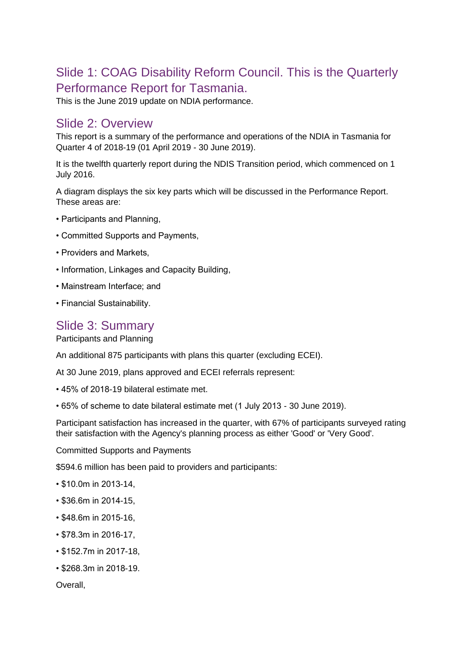# Slide 1: COAG Disability Reform Council. This is the Quarterly Performance Report for Tasmania.

This is the June 2019 update on NDIA performance.

### Slide 2: Overview

This report is a summary of the performance and operations of the NDIA in Tasmania for Quarter 4 of 2018-19 (01 April 2019 - 30 June 2019).

It is the twelfth quarterly report during the NDIS Transition period, which commenced on 1 July 2016.

A diagram displays the six key parts which will be discussed in the Performance Report. These areas are:

- Participants and Planning,
- Committed Supports and Payments,
- Providers and Markets,
- Information, Linkages and Capacity Building,
- Mainstream Interface; and
- Financial Sustainability.

## Slide 3: Summary

Participants and Planning

An additional 875 participants with plans this quarter (excluding ECEI).

At 30 June 2019, plans approved and ECEI referrals represent:

- 45% of 2018-19 bilateral estimate met.
- 65% of scheme to date bilateral estimate met (1 July 2013 30 June 2019).

Participant satisfaction has increased in the quarter, with 67% of participants surveyed rating their satisfaction with the Agency's planning process as either 'Good' or 'Very Good'.

Committed Supports and Payments

\$594.6 million has been paid to providers and participants:

- \$10.0m in 2013-14,
- \$36.6m in 2014-15,
- \$48.6m in 2015-16,
- \$78.3m in 2016-17,
- \$152.7m in 2017-18,
- \$268.3m in 2018-19.

Overall,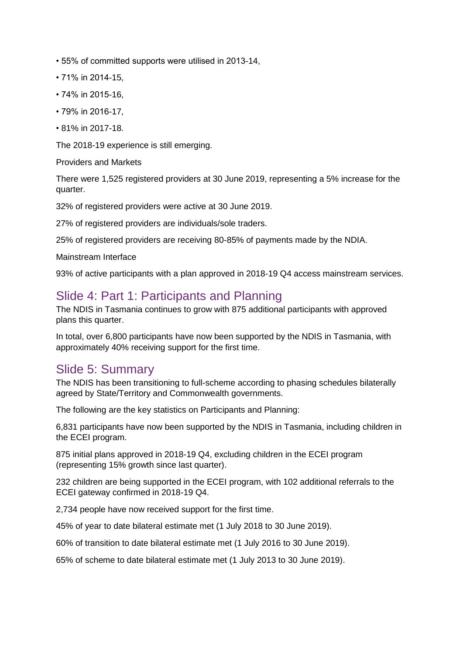- 55% of committed supports were utilised in 2013-14,
- 71% in 2014-15,
- 74% in 2015-16,
- 79% in 2016-17,
- 81% in 2017-18.

The 2018-19 experience is still emerging.

Providers and Markets

There were 1,525 registered providers at 30 June 2019, representing a 5% increase for the quarter.

32% of registered providers were active at 30 June 2019.

27% of registered providers are individuals/sole traders.

25% of registered providers are receiving 80-85% of payments made by the NDIA.

Mainstream Interface

93% of active participants with a plan approved in 2018-19 Q4 access mainstream services.

### Slide 4: Part 1: Participants and Planning

The NDIS in Tasmania continues to grow with 875 additional participants with approved plans this quarter.

In total, over 6,800 participants have now been supported by the NDIS in Tasmania, with approximately 40% receiving support for the first time.

### Slide 5: Summary

The NDIS has been transitioning to full-scheme according to phasing schedules bilaterally agreed by State/Territory and Commonwealth governments.

The following are the key statistics on Participants and Planning:

6,831 participants have now been supported by the NDIS in Tasmania, including children in the ECEI program.

875 initial plans approved in 2018-19 Q4, excluding children in the ECEI program (representing 15% growth since last quarter).

232 children are being supported in the ECEI program, with 102 additional referrals to the ECEI gateway confirmed in 2018-19 Q4.

2,734 people have now received support for the first time.

45% of year to date bilateral estimate met (1 July 2018 to 30 June 2019).

60% of transition to date bilateral estimate met (1 July 2016 to 30 June 2019).

65% of scheme to date bilateral estimate met (1 July 2013 to 30 June 2019).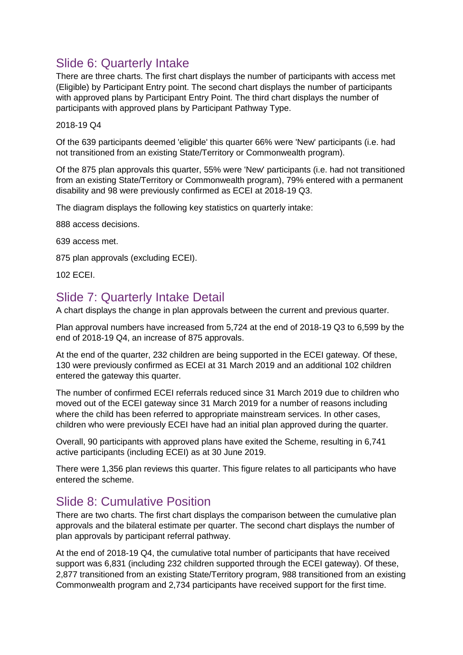# Slide 6: Quarterly Intake

There are three charts. The first chart displays the number of participants with access met (Eligible) by Participant Entry point. The second chart displays the number of participants with approved plans by Participant Entry Point. The third chart displays the number of participants with approved plans by Participant Pathway Type.

2018-19 Q4

Of the 639 participants deemed 'eligible' this quarter 66% were 'New' participants (i.e. had not transitioned from an existing State/Territory or Commonwealth program).

Of the 875 plan approvals this quarter, 55% were 'New' participants (i.e. had not transitioned from an existing State/Territory or Commonwealth program), 79% entered with a permanent disability and 98 were previously confirmed as ECEI at 2018-19 Q3.

The diagram displays the following key statistics on quarterly intake:

888 access decisions.

639 access met.

875 plan approvals (excluding ECEI).

102 ECEI.

## Slide 7: Quarterly Intake Detail

A chart displays the change in plan approvals between the current and previous quarter.

Plan approval numbers have increased from 5,724 at the end of 2018-19 Q3 to 6,599 by the end of 2018-19 Q4, an increase of 875 approvals.

At the end of the quarter, 232 children are being supported in the ECEI gateway. Of these, 130 were previously confirmed as ECEI at 31 March 2019 and an additional 102 children entered the gateway this quarter.

The number of confirmed ECEI referrals reduced since 31 March 2019 due to children who moved out of the ECEI gateway since 31 March 2019 for a number of reasons including where the child has been referred to appropriate mainstream services. In other cases, children who were previously ECEI have had an initial plan approved during the quarter.

Overall, 90 participants with approved plans have exited the Scheme, resulting in 6,741 active participants (including ECEI) as at 30 June 2019.

There were 1,356 plan reviews this quarter. This figure relates to all participants who have entered the scheme.

## Slide 8: Cumulative Position

There are two charts. The first chart displays the comparison between the cumulative plan approvals and the bilateral estimate per quarter. The second chart displays the number of plan approvals by participant referral pathway.

At the end of 2018-19 Q4, the cumulative total number of participants that have received support was 6,831 (including 232 children supported through the ECEI gateway). Of these, 2,877 transitioned from an existing State/Territory program, 988 transitioned from an existing Commonwealth program and 2,734 participants have received support for the first time.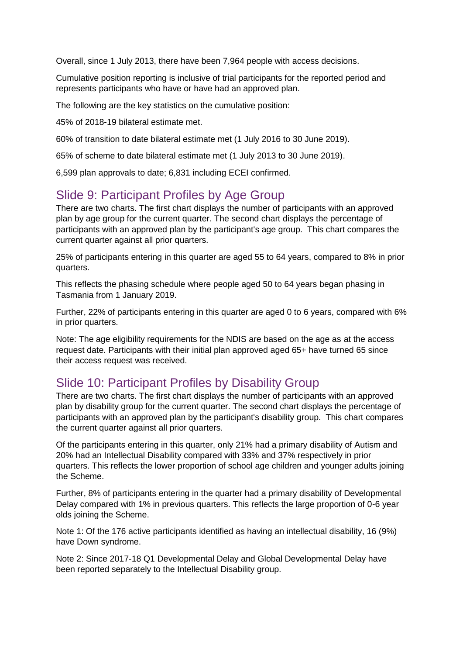Overall, since 1 July 2013, there have been 7,964 people with access decisions.

Cumulative position reporting is inclusive of trial participants for the reported period and represents participants who have or have had an approved plan.

The following are the key statistics on the cumulative position:

45% of 2018-19 bilateral estimate met.

60% of transition to date bilateral estimate met (1 July 2016 to 30 June 2019).

65% of scheme to date bilateral estimate met (1 July 2013 to 30 June 2019).

6,599 plan approvals to date; 6,831 including ECEI confirmed.

## Slide 9: Participant Profiles by Age Group

There are two charts. The first chart displays the number of participants with an approved plan by age group for the current quarter. The second chart displays the percentage of participants with an approved plan by the participant's age group. This chart compares the current quarter against all prior quarters.

25% of participants entering in this quarter are aged 55 to 64 years, compared to 8% in prior quarters.

This reflects the phasing schedule where people aged 50 to 64 years began phasing in Tasmania from 1 January 2019.

Further, 22% of participants entering in this quarter are aged 0 to 6 years, compared with 6% in prior quarters.

Note: The age eligibility requirements for the NDIS are based on the age as at the access request date. Participants with their initial plan approved aged 65+ have turned 65 since their access request was received.

### Slide 10: Participant Profiles by Disability Group

There are two charts. The first chart displays the number of participants with an approved plan by disability group for the current quarter. The second chart displays the percentage of participants with an approved plan by the participant's disability group. This chart compares the current quarter against all prior quarters.

Of the participants entering in this quarter, only 21% had a primary disability of Autism and 20% had an Intellectual Disability compared with 33% and 37% respectively in prior quarters. This reflects the lower proportion of school age children and younger adults joining the Scheme.

Further, 8% of participants entering in the quarter had a primary disability of Developmental Delay compared with 1% in previous quarters. This reflects the large proportion of 0-6 year olds joining the Scheme.

Note 1: Of the 176 active participants identified as having an intellectual disability, 16 (9%) have Down syndrome.

Note 2: Since 2017-18 Q1 Developmental Delay and Global Developmental Delay have been reported separately to the Intellectual Disability group.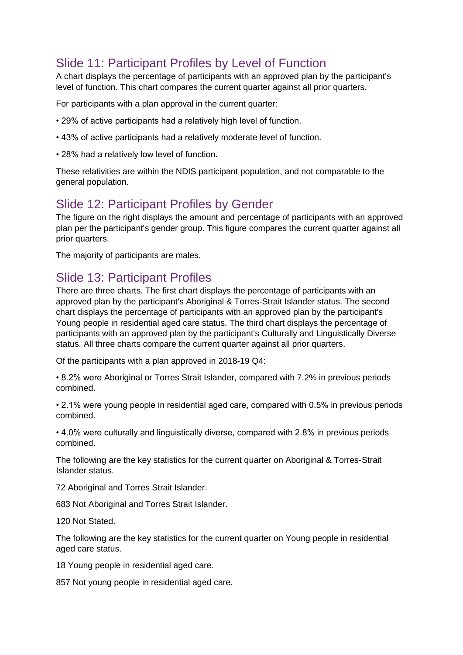# Slide 11: Participant Profiles by Level of Function

A chart displays the percentage of participants with an approved plan by the participant's level of function. This chart compares the current quarter against all prior quarters.

For participants with a plan approval in the current quarter:

- 29% of active participants had a relatively high level of function.
- 43% of active participants had a relatively moderate level of function.
- 28% had a relatively low level of function.

These relativities are within the NDIS participant population, and not comparable to the general population.

## Slide 12: Participant Profiles by Gender

The figure on the right displays the amount and percentage of participants with an approved plan per the participant's gender group. This figure compares the current quarter against all prior quarters.

The majority of participants are males.

## Slide 13: Participant Profiles

There are three charts. The first chart displays the percentage of participants with an approved plan by the participant's Aboriginal & Torres-Strait Islander status. The second chart displays the percentage of participants with an approved plan by the participant's Young people in residential aged care status. The third chart displays the percentage of participants with an approved plan by the participant's Culturally and Linguistically Diverse status. All three charts compare the current quarter against all prior quarters.

Of the participants with a plan approved in 2018-19 Q4:

• 8.2% were Aboriginal or Torres Strait Islander, compared with 7.2% in previous periods combined.

• 2.1% were young people in residential aged care, compared with 0.5% in previous periods combined.

• 4.0% were culturally and linguistically diverse, compared with 2.8% in previous periods combined.

The following are the key statistics for the current quarter on Aboriginal & Torres-Strait Islander status.

72 Aboriginal and Torres Strait Islander.

683 Not Aboriginal and Torres Strait Islander.

120 Not Stated.

The following are the key statistics for the current quarter on Young people in residential aged care status.

18 Young people in residential aged care.

857 Not young people in residential aged care.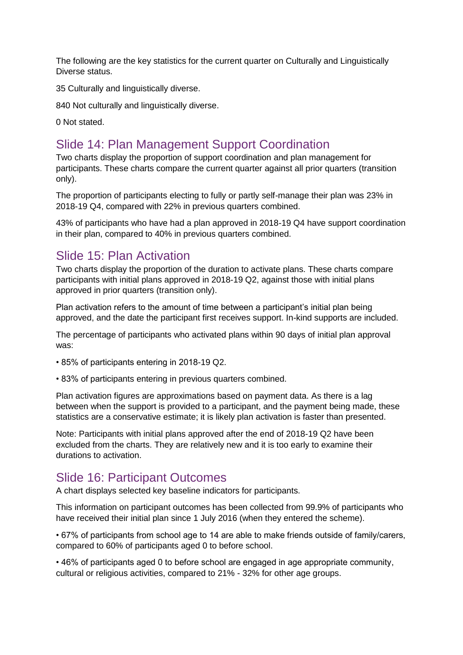The following are the key statistics for the current quarter on Culturally and Linguistically Diverse status.

35 Culturally and linguistically diverse.

840 Not culturally and linguistically diverse.

0 Not stated.

# Slide 14: Plan Management Support Coordination

Two charts display the proportion of support coordination and plan management for participants. These charts compare the current quarter against all prior quarters (transition only).

The proportion of participants electing to fully or partly self-manage their plan was 23% in 2018-19 Q4, compared with 22% in previous quarters combined.

43% of participants who have had a plan approved in 2018-19 Q4 have support coordination in their plan, compared to 40% in previous quarters combined.

# Slide 15: Plan Activation

Two charts display the proportion of the duration to activate plans. These charts compare participants with initial plans approved in 2018-19 Q2, against those with initial plans approved in prior quarters (transition only).

Plan activation refers to the amount of time between a participant's initial plan being approved, and the date the participant first receives support. In-kind supports are included.

The percentage of participants who activated plans within 90 days of initial plan approval was:

- 85% of participants entering in 2018-19 Q2.
- 83% of participants entering in previous quarters combined.

Plan activation figures are approximations based on payment data. As there is a lag between when the support is provided to a participant, and the payment being made, these statistics are a conservative estimate; it is likely plan activation is faster than presented.

Note: Participants with initial plans approved after the end of 2018-19 Q2 have been excluded from the charts. They are relatively new and it is too early to examine their durations to activation.

### Slide 16: Participant Outcomes

A chart displays selected key baseline indicators for participants.

This information on participant outcomes has been collected from 99.9% of participants who have received their initial plan since 1 July 2016 (when they entered the scheme).

• 67% of participants from school age to 14 are able to make friends outside of family/carers, compared to 60% of participants aged 0 to before school.

• 46% of participants aged 0 to before school are engaged in age appropriate community, cultural or religious activities, compared to 21% - 32% for other age groups.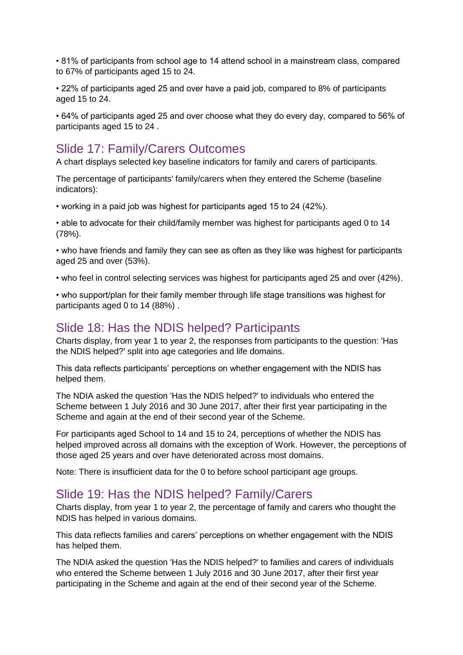• 81% of participants from school age to 14 attend school in a mainstream class, compared to 67% of participants aged 15 to 24.

• 22% of participants aged 25 and over have a paid job, compared to 8% of participants aged 15 to 24.

• 64% of participants aged 25 and over choose what they do every day, compared to 56% of participants aged 15 to 24 .

## Slide 17: Family/Carers Outcomes

A chart displays selected key baseline indicators for family and carers of participants.

The percentage of participants' family/carers when they entered the Scheme (baseline indicators):

• working in a paid job was highest for participants aged 15 to 24 (42%).

• able to advocate for their child/family member was highest for participants aged 0 to 14 (78%).

• who have friends and family they can see as often as they like was highest for participants aged 25 and over (53%).

• who feel in control selecting services was highest for participants aged 25 and over (42%).

• who support/plan for their family member through life stage transitions was highest for participants aged 0 to 14 (88%) .

### Slide 18: Has the NDIS helped? Participants

Charts display, from year 1 to year 2, the responses from participants to the question: 'Has the NDIS helped?' split into age categories and life domains.

This data reflects participants' perceptions on whether engagement with the NDIS has helped them.

The NDIA asked the question 'Has the NDIS helped?' to individuals who entered the Scheme between 1 July 2016 and 30 June 2017, after their first year participating in the Scheme and again at the end of their second year of the Scheme.

For participants aged School to 14 and 15 to 24, perceptions of whether the NDIS has helped improved across all domains with the exception of Work. However, the perceptions of those aged 25 years and over have deteriorated across most domains.

Note: There is insufficient data for the 0 to before school participant age groups.

### Slide 19: Has the NDIS helped? Family/Carers

Charts display, from year 1 to year 2, the percentage of family and carers who thought the NDIS has helped in various domains.

This data reflects families and carers' perceptions on whether engagement with the NDIS has helped them.

The NDIA asked the question 'Has the NDIS helped?' to families and carers of individuals who entered the Scheme between 1 July 2016 and 30 June 2017, after their first year participating in the Scheme and again at the end of their second year of the Scheme.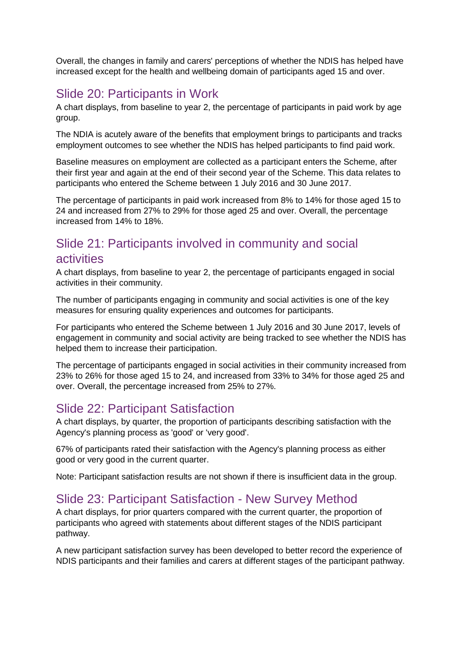Overall, the changes in family and carers' perceptions of whether the NDIS has helped have increased except for the health and wellbeing domain of participants aged 15 and over.

## Slide 20: Participants in Work

A chart displays, from baseline to year 2, the percentage of participants in paid work by age group.

The NDIA is acutely aware of the benefits that employment brings to participants and tracks employment outcomes to see whether the NDIS has helped participants to find paid work.

Baseline measures on employment are collected as a participant enters the Scheme, after their first year and again at the end of their second year of the Scheme. This data relates to participants who entered the Scheme between 1 July 2016 and 30 June 2017.

The percentage of participants in paid work increased from 8% to 14% for those aged 15 to 24 and increased from 27% to 29% for those aged 25 and over. Overall, the percentage increased from 14% to 18%.

# Slide 21: Participants involved in community and social activities

A chart displays, from baseline to year 2, the percentage of participants engaged in social activities in their community.

The number of participants engaging in community and social activities is one of the key measures for ensuring quality experiences and outcomes for participants.

For participants who entered the Scheme between 1 July 2016 and 30 June 2017, levels of engagement in community and social activity are being tracked to see whether the NDIS has helped them to increase their participation.

The percentage of participants engaged in social activities in their community increased from 23% to 26% for those aged 15 to 24, and increased from 33% to 34% for those aged 25 and over. Overall, the percentage increased from 25% to 27%.

### Slide 22: Participant Satisfaction

A chart displays, by quarter, the proportion of participants describing satisfaction with the Agency's planning process as 'good' or 'very good'.

67% of participants rated their satisfaction with the Agency's planning process as either good or very good in the current quarter.

Note: Participant satisfaction results are not shown if there is insufficient data in the group.

## Slide 23: Participant Satisfaction - New Survey Method

A chart displays, for prior quarters compared with the current quarter, the proportion of participants who agreed with statements about different stages of the NDIS participant pathway.

A new participant satisfaction survey has been developed to better record the experience of NDIS participants and their families and carers at different stages of the participant pathway.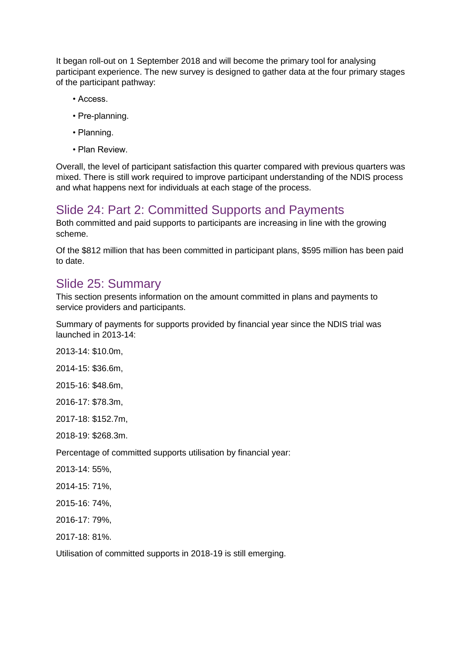It began roll-out on 1 September 2018 and will become the primary tool for analysing participant experience. The new survey is designed to gather data at the four primary stages of the participant pathway:

- Access.
- Pre-planning.
- Planning.
- Plan Review.

Overall, the level of participant satisfaction this quarter compared with previous quarters was mixed. There is still work required to improve participant understanding of the NDIS process and what happens next for individuals at each stage of the process.

# Slide 24: Part 2: Committed Supports and Payments

Both committed and paid supports to participants are increasing in line with the growing scheme.

Of the \$812 million that has been committed in participant plans, \$595 million has been paid to date.

# Slide 25: Summary

This section presents information on the amount committed in plans and payments to service providers and participants.

Summary of payments for supports provided by financial year since the NDIS trial was launched in 2013-14:

2013-14: \$10.0m,

2014-15: \$36.6m,

2015-16: \$48.6m,

2016-17: \$78.3m,

2017-18: \$152.7m,

2018-19: \$268.3m.

Percentage of committed supports utilisation by financial year:

2013-14: 55%,

2014-15: 71%,

2015-16: 74%,

2016-17: 79%,

2017-18: 81%.

Utilisation of committed supports in 2018-19 is still emerging.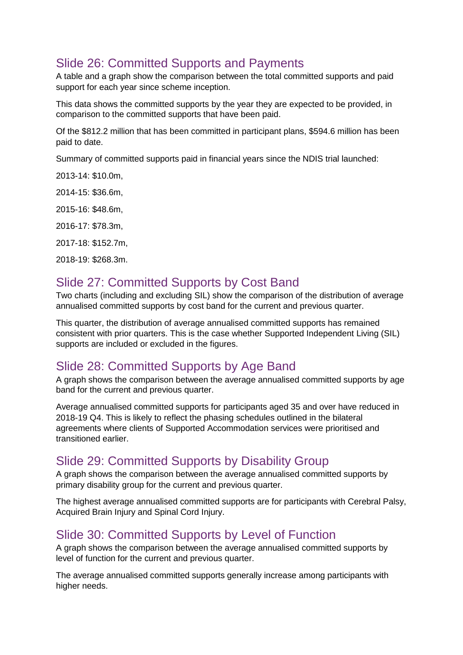# Slide 26: Committed Supports and Payments

A table and a graph show the comparison between the total committed supports and paid support for each year since scheme inception.

This data shows the committed supports by the year they are expected to be provided, in comparison to the committed supports that have been paid.

Of the \$812.2 million that has been committed in participant plans, \$594.6 million has been paid to date.

Summary of committed supports paid in financial years since the NDIS trial launched:

2013-14: \$10.0m,

2014-15: \$36.6m,

2015-16: \$48.6m,

2016-17: \$78.3m,

2017-18: \$152.7m,

2018-19: \$268.3m.

### Slide 27: Committed Supports by Cost Band

Two charts (including and excluding SIL) show the comparison of the distribution of average annualised committed supports by cost band for the current and previous quarter.

This quarter, the distribution of average annualised committed supports has remained consistent with prior quarters. This is the case whether Supported Independent Living (SIL) supports are included or excluded in the figures.

## Slide 28: Committed Supports by Age Band

A graph shows the comparison between the average annualised committed supports by age band for the current and previous quarter.

Average annualised committed supports for participants aged 35 and over have reduced in 2018-19 Q4. This is likely to reflect the phasing schedules outlined in the bilateral agreements where clients of Supported Accommodation services were prioritised and transitioned earlier.

## Slide 29: Committed Supports by Disability Group

A graph shows the comparison between the average annualised committed supports by primary disability group for the current and previous quarter.

The highest average annualised committed supports are for participants with Cerebral Palsy, Acquired Brain Injury and Spinal Cord Injury.

### Slide 30: Committed Supports by Level of Function

A graph shows the comparison between the average annualised committed supports by level of function for the current and previous quarter.

The average annualised committed supports generally increase among participants with higher needs.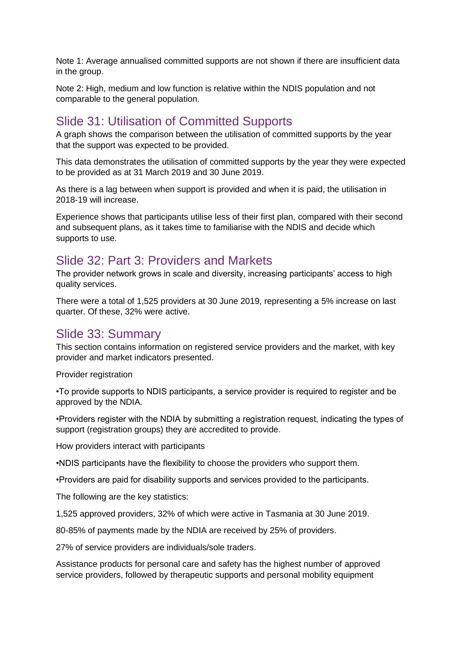Note 1: Average annualised committed supports are not shown if there are insufficient data in the group.

Note 2: High, medium and low function is relative within the NDIS population and not comparable to the general population.

## Slide 31: Utilisation of Committed Supports

A graph shows the comparison between the utilisation of committed supports by the year that the support was expected to be provided.

This data demonstrates the utilisation of committed supports by the year they were expected to be provided as at 31 March 2019 and 30 June 2019.

As there is a lag between when support is provided and when it is paid, the utilisation in 2018-19 will increase.

Experience shows that participants utilise less of their first plan, compared with their second and subsequent plans, as it takes time to familiarise with the NDIS and decide which supports to use.

### Slide 32: Part 3: Providers and Markets

The provider network grows in scale and diversity, increasing participants' access to high quality services.

There were a total of 1,525 providers at 30 June 2019, representing a 5% increase on last quarter. Of these, 32% were active.

### Slide 33: Summary

This section contains information on registered service providers and the market, with key provider and market indicators presented.

Provider registration

•To provide supports to NDIS participants, a service provider is required to register and be approved by the NDIA.

•Providers register with the NDIA by submitting a registration request, indicating the types of support (registration groups) they are accredited to provide.

How providers interact with participants

•NDIS participants have the flexibility to choose the providers who support them.

•Providers are paid for disability supports and services provided to the participants.

The following are the key statistics:

1,525 approved providers, 32% of which were active in Tasmania at 30 June 2019.

80-85% of payments made by the NDIA are received by 25% of providers.

27% of service providers are individuals/sole traders.

Assistance products for personal care and safety has the highest number of approved service providers, followed by therapeutic supports and personal mobility equipment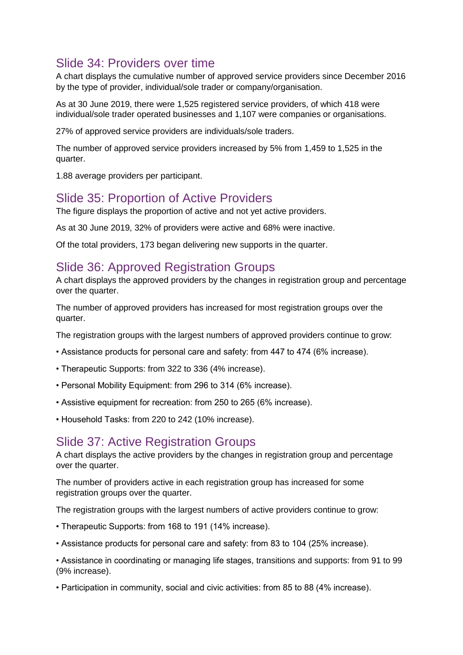# Slide 34: Providers over time

A chart displays the cumulative number of approved service providers since December 2016 by the type of provider, individual/sole trader or company/organisation.

As at 30 June 2019, there were 1,525 registered service providers, of which 418 were individual/sole trader operated businesses and 1,107 were companies or organisations.

27% of approved service providers are individuals/sole traders.

The number of approved service providers increased by 5% from 1,459 to 1,525 in the quarter.

1.88 average providers per participant.

## Slide 35: Proportion of Active Providers

The figure displays the proportion of active and not yet active providers.

As at 30 June 2019, 32% of providers were active and 68% were inactive.

Of the total providers, 173 began delivering new supports in the quarter.

## Slide 36: Approved Registration Groups

A chart displays the approved providers by the changes in registration group and percentage over the quarter.

The number of approved providers has increased for most registration groups over the quarter.

The registration groups with the largest numbers of approved providers continue to grow:

- Assistance products for personal care and safety: from 447 to 474 (6% increase).
- Therapeutic Supports: from 322 to 336 (4% increase).
- Personal Mobility Equipment: from 296 to 314 (6% increase).
- Assistive equipment for recreation: from 250 to 265 (6% increase).
- Household Tasks: from 220 to 242 (10% increase).

### Slide 37: Active Registration Groups

A chart displays the active providers by the changes in registration group and percentage over the quarter.

The number of providers active in each registration group has increased for some registration groups over the quarter.

The registration groups with the largest numbers of active providers continue to grow:

- Therapeutic Supports: from 168 to 191 (14% increase).
- Assistance products for personal care and safety: from 83 to 104 (25% increase).

• Assistance in coordinating or managing life stages, transitions and supports: from 91 to 99 (9% increase).

• Participation in community, social and civic activities: from 85 to 88 (4% increase).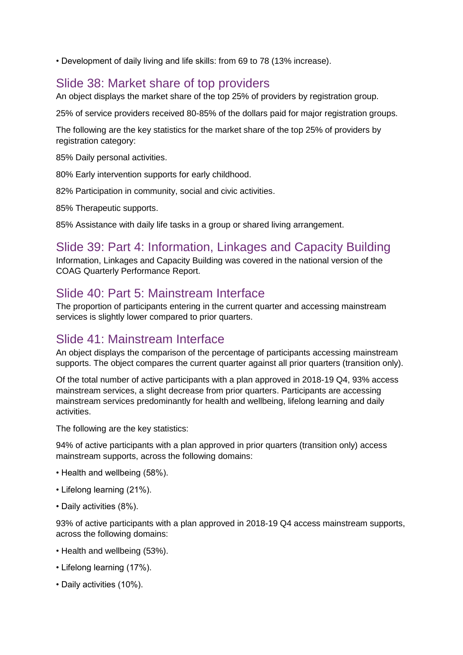• Development of daily living and life skills: from 69 to 78 (13% increase).

## Slide 38: Market share of top providers

An object displays the market share of the top 25% of providers by registration group.

25% of service providers received 80-85% of the dollars paid for major registration groups.

The following are the key statistics for the market share of the top 25% of providers by registration category:

85% Daily personal activities.

80% Early intervention supports for early childhood.

82% Participation in community, social and civic activities.

85% Therapeutic supports.

85% Assistance with daily life tasks in a group or shared living arrangement.

# Slide 39: Part 4: Information, Linkages and Capacity Building

Information, Linkages and Capacity Building was covered in the national version of the COAG Quarterly Performance Report.

# Slide 40: Part 5: Mainstream Interface

The proportion of participants entering in the current quarter and accessing mainstream services is slightly lower compared to prior quarters.

## Slide 41: Mainstream Interface

An object displays the comparison of the percentage of participants accessing mainstream supports. The object compares the current quarter against all prior quarters (transition only).

Of the total number of active participants with a plan approved in 2018-19 Q4, 93% access mainstream services, a slight decrease from prior quarters. Participants are accessing mainstream services predominantly for health and wellbeing, lifelong learning and daily activities.

The following are the key statistics:

94% of active participants with a plan approved in prior quarters (transition only) access mainstream supports, across the following domains:

- Health and wellbeing (58%).
- Lifelong learning (21%).
- Daily activities (8%).

93% of active participants with a plan approved in 2018-19 Q4 access mainstream supports, across the following domains:

- Health and wellbeing (53%).
- Lifelong learning (17%).
- Daily activities (10%).